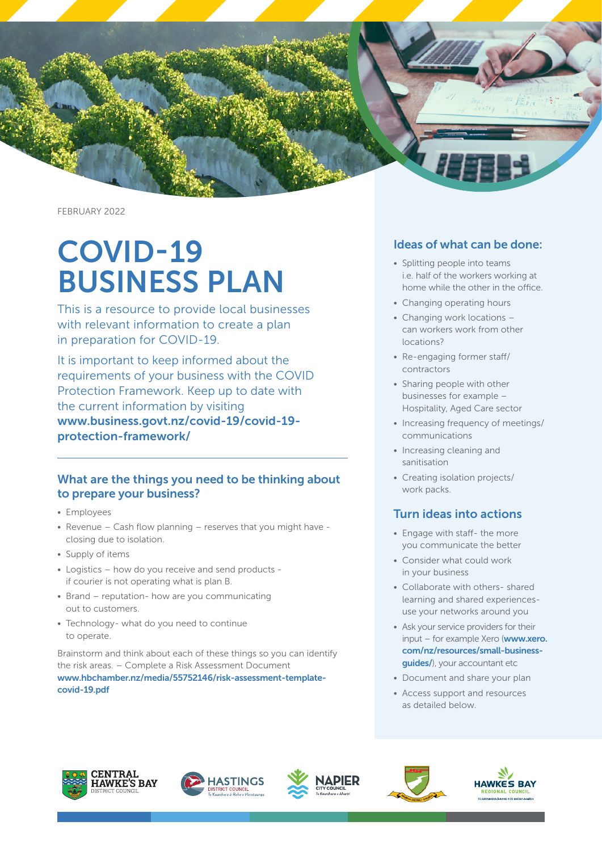

FEBRUARY 2022

# COVID-19 BUSINESS PLAN

This is a resource to provide local businesses with relevant information to create a plan in preparation for COVID-19.

It is important to keep informed about the requirements of your business with the COVID Protection Framework. Keep up to date with the current information by visiting [www.business.govt.nz/covid-19/covid-19](http://www.business.govt.nz/covid-19/covid-19-protection-framework/) [protection-framework/](http://www.business.govt.nz/covid-19/covid-19-protection-framework/)

## What are the things you need to be thinking about to prepare your business?

- Employees
- Revenue Cash flow planning reserves that you might have closing due to isolation.
- Supply of items
- Logistics how do you receive and send products if courier is not operating what is plan B.
- Brand reputation- how are you communicating out to customers.
- Technology- what do you need to continue to operate.

Brainstorm and think about each of these things so you can identify the risk areas. – Complete a Risk Assessment Document [www.hbchamber.nz/media/55752146/risk-assessment-template](http://www.hbchamber.nz/media/55752146/risk-assessment-template-covid-19.pdf)[covid-19.pdf](http://www.hbchamber.nz/media/55752146/risk-assessment-template-covid-19.pdf)

## Ideas of what can be done:

- Splitting people into teams i.e. half of the workers working at home while the other in the office.
- Changing operating hours
- Changing work locations can workers work from other locations?
- Re-engaging former staff/ contractors
- Sharing people with other businesses for example – Hospitality, Aged Care sector
- Increasing frequency of meetings/ communications
- Increasing cleaning and sanitisation
- Creating isolation projects/ work packs.

## Turn ideas into actions

- Engage with staff- the more you communicate the better
- Consider what could work in your business
- Collaborate with others- shared learning and shared experiencesuse your networks around you
- Ask your service providers for their input – for example Xero ([www.xero.](http://www.xero.com/nz/resources/small-business-guides/) [com/nz/resources/small-business](http://www.xero.com/nz/resources/small-business-guides/)[guides/](http://www.xero.com/nz/resources/small-business-guides/)), your accountant etc
- Document and share your plan
- Access support and resources as detailed below.